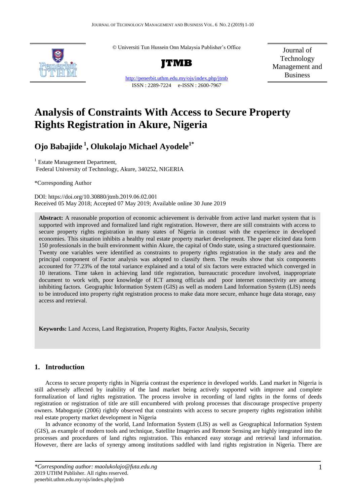© Universiti Tun Hussein Onn Malaysia Publisher's Office



http://penerbit.uthm.edu.my/ojs/index.php/jtmb ISSN : 2289-7224 e-ISSN : 2600-7967

Journal of Technology Management and Business

# **Analysis of Constraints With Access to Secure Property Rights Registration in Akure, Nigeria**

## **Ojo Babajide <sup>1</sup> , Olukolajo Michael Ayodele1\***

<sup>1</sup> Estate Management Department, Federal University of Technology, Akure, 340252, NIGERIA

\*Corresponding Author

DOI: https://doi.org/10.30880/jtmb.2019.06.02.001 Received 05 May 2018; Accepted 07 May 2019; Available online 30 June 2019

**Abstract:** A reasonable proportion of economic achievement is derivable from active land market system that is supported with improved and formalized land right registration. However, there are still constraints with access to secure property rights registration in many states of Nigeria in contrast with the experience in developed economies. This situation inhibits a healthy real estate property market development. The paper elicited data form 150 professionals in the built environment within Akure, the capital of Ondo state, using a structured questionnaire. Twenty one variables were identified as constraints to property rights registration in the study area and the principal component of Factor analysis was adopted to classify them. The results show that six components accounted for 77.23% of the total variance explained and a total of six factors were extracted which converged in 10 iterations. Time taken in achieving land title registration, bureaucratic procedure involved, inappropriate document to work with, poor knowledge of ICT among officials and poor internet connectivity are among inhibiting factors. Geographic Information System (GIS) as well as modern Land Information System (LIS) needs to be introduced into property right registration process to make data more secure, enhance huge data storage, easy access and retrieval.

**Keywords:** Land Access, Land Registration, Property Rights, Factor Analysis, Security

## **1. Introduction**

Access to secure property rights in Nigeria contrast the experience in developed worlds. Land market in Nigeria is still adversely affected by inability of the land market being actively supported with improve and complete formalization of land rights registration. The process involve in recording of land rights in the forms of deeds registration or registration of title are still encumbered with prolong processes that discourage prospective property owners. Mabogunje (2006) rightly observed that constraints with access to secure property rights registration inhibit real estate property market development in Nigeria

In advance economy of the world, Land Information System (LIS) as well as Geographical Information System (GIS), as example of modern tools and technique, Satellite Imageries and Remote Sensing are highly integrated into the processes and procedures of land rights registration. This enhanced easy storage and retrieval land information. However, there are lacks of synergy among institutions saddled with land rights registration in Nigeria. There are

*<sup>\*</sup>Corresponding author: maolukolajo@futa.edu.ng* 2019 UTHM Publisher. All rights reserved. penerbit.uthm.edu.my/ojs/index.php/jtmb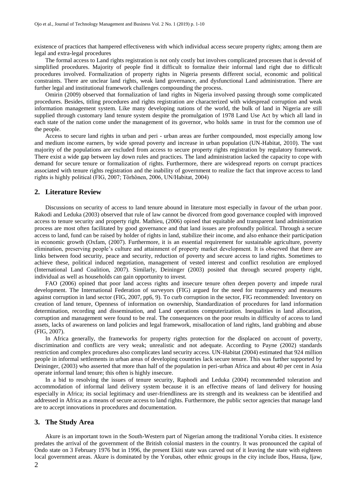existence of practices that hampered effectiveness with which individual access secure property rights; among them are legal and extra-legal procedures

The formal access to Land rights registration is not only costly but involves complicated processes that is devoid of simplified procedures. Majority of people find it difficult to formalize their informal land right due to difficult procedures involved. Formalization of property rights in Nigeria presents different social, economic and political constraints. There are unclear land rights, weak land governance, and dysfunctional Land administration. There are further legal and institutional framework challenges compounding the process.

Omirin (2009) observed that formalization of land rights in Nigeria involved passing through some complicated procedures. Besides, titling procedures and rights registration are characterized with widespread corruption and weak information management system. Like many developing nations of the world, the bulk of land in Nigeria are still supplied through customary land tenure system despite the promulgation of 1978 Land Use Act by which all land in each state of the nation come under the management of its governor, who holds same in trust for the common use of the people.

Access to secure land rights in urban and peri - urban areas are further compounded, most especially among low and medium income earners, by wide spread poverty and increase in urban population (UN-Habitat, 2010). The vast majority of the populations are excluded from access to secure property rights registration by regulatory framework. There exist a wide gap between lay down rules and practices. The land administration lacked the capacity to cope with demand for secure tenure or formalization of rights. Furthermore, there are widespread reports on corrupt practices associated with tenure rights registration and the inability of government to realize the fact that improve access to land rights is highly political (FIG, 2007; Törhönen, 2006, UN/Habitat, 2004)

#### **2. Literature Review**

Discussions on security of access to land tenure abound in literature most especially in favour of the urban poor. Rakodi and Leduka (2003) observed that rule of law cannot be divorced from good governance coupled with improved access to tenure security and property right. Mathieu, (2006) opined that equitable and transparent land administration process are most often facilitated by good governance and that land issues are profoundly political. Through a secure access to land, fund can be raised by holder of rights in land, stabilize their income, and also enhance their participation in economic growth (Oxfam, (2007). Furthermore, it is an essential requirement for sustainable agriculture, poverty elimination, preserving people's culture and attainment of property market development. It is observed that there are links between food security, peace and security, reduction of poverty and secure access to land rights. Sometimes to achieve these, political induced negotiation, management of vested interest and conflict resolution are employed (International Land Coalition, 2007). Similarly, Deininger (2003) posited that through secured property right, individual as well as households can gain opportunity to invest.

FAO (2006) opined that poor land access rights and insecure tenure often deepen poverty and impede rural development. The International Federation of surveyors (FIG) argued for the need for transparency and measures against corruption in land sector (FIG, 2007, pp6, 9). To curb corruption in the sector, FIG recommended: Inventory on creation of land tenure, Openness of information on ownership, Standardization of procedures for land information determination, recording and dissemination, and Land operations computerization. Inequalities in land allocation, corruption and management were found to be real. The consequences on the poor results in difficulty of access to land assets, lacks of awareness on land policies and legal framework, misallocation of land rights, land grabbing and abuse (FIG, 2007).

In Africa generally, the frameworks for property rights protection for the displaced on account of poverty, discrimination and conflicts are very weak; unrealistic and not adequate. According to Payne (2002) standards restriction and complex procedures also complicates land security access. UN-Habitat (2004) estimated that 924 million people in informal settlements in urban areas of developing countries lack secure tenure. This was further supported by Deininger, (2003) who asserted that more than half of the population in peri-urban Africa and about 40 per cent in Asia operate informal land tenure; this often is highly insecure.

In a bid to resolving the issues of tenure security, Raphodi and Leduka (2004) recommended toleration and accommodation of informal land delivery system because it is an effective means of land delivery for housing especially in Africa; its social legitimacy and user-friendliness are its strength and its weakness can be identified and addressed in Africa as a means of secure access to land rights. Furthermore, the public sector agencies that manage land are to accept innovations in procedures and documentation.

## **3. The Study Area**

Akure is an important town in the South-Western part of Nigerian among the traditional Yoruba cities. It existence predates the arrival of the government of the British colonial masters in the country. It was pronounced the capital of Ondo state on 3 February 1976 but in 1996, the present Ekiti state was carved out of it leaving the state with eighteen local government areas. Akure is dominated by the Yorubas, other ethnic groups in the city include Ibos, Hausa, Ijaw,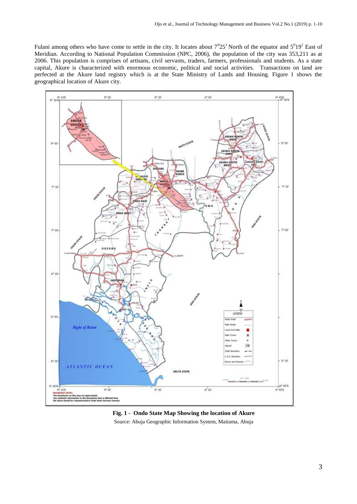Fulani among others who have come to settle in the city. It locates about  $7^025^1$  North of the equator and  $5^019^1$  East of Meridian. According to National Population Commission (NPC, 2006), the population of the city was 353,211 as at 2006. This population is comprises of artisans, civil servants, traders, farmers, professionals and students. As a state capital, Akure is characterized with enormous economic, political and social activities. Transactions on land are perfected at the Akure land registry which is at the State Ministry of Lands and Housing. Figure 1 shows the geographical location of Akure city.



## **Fig. 1 - Ondo State Map Showing the location of Akure** Source: Abuja Geographic Information System, Maitama, Abuja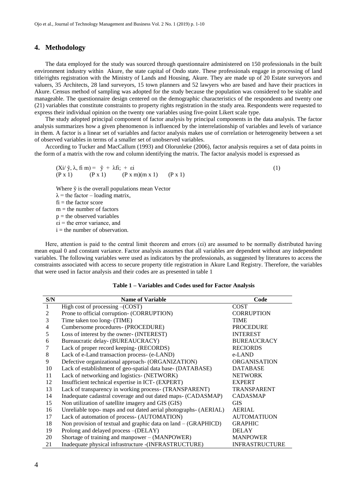### **4. Methodology**

The data employed for the study was sourced through questionnaire administered on 150 professionals in the built environment industry within Akure, the state capital of Ondo state. These professionals engage in processing of land title/rights registration with the Ministry of Lands and Housing, Akure. They are made up of 20 Estate surveyors and valuers, 35 Architects, 28 land surveyors, 15 town planners and 52 lawyers who are based and have their practices in Akure. Census method of sampling was adopted for the study because the population was considered to be sizable and manageable. The questionnaire design centered on the demographic characteristics of the respondents and twenty one (21) variables that constitute constraints to property rights registration in the study area. Respondents were requested to express their individual opinion on the twenty one variables using five-point Likert scale type.

The study adopted principal component of factor analysis by principal components in the data analysis. The factor analysis summarizes how a given phenomenon is influenced by the interrelationship of variables and levels of variance in them. A factor is a linear set of variables and factor analysis makes use of correlation or heterogeneity between a set of observed variables in terms of a smaller set of unobserved variables.

According to Tucker and MacCallum (1993) and Olorunleke (2006), factor analysis requires a set of data points in the form of a matrix with the row and column identifying the matrix. The factor analysis model is expressed as

 $(Xi/\tilde{y}, \lambda, f\tilde{m}) = \tilde{y} + \lambda f\tilde{n}$ ; + εi (1)  $(P x 1)$   $(P x 1)$   $(P x m)(m x 1)$   $(P x 1)$ Where ỹ is the overall populations mean Vector  $\lambda$  = the factor – loading matrix,  $fi =$  the factor score  $m =$  the number of factors  $p =$  the observed variables  $\epsilon$ i = the error variance, and  $i =$  the number of observation.

Here, attention is paid to the central limit theorem and errors (εi) are assumed to be normally distributed having mean equal 0 and constant variance. Factor analysis assumes that all variables are dependent without any independent variables. The following variables were used as indicators by the professionals, as suggested by literatures to access the constraints associated with access to secure property title registration in Akure Land Registry. Therefore, the variables that were used in factor analysis and their codes are as presented in table 1

#### **Table 1 – Variables and Codes used for Factor Analysis**

| S/N            | <b>Name of Variable</b>                                          | Code                  |
|----------------|------------------------------------------------------------------|-----------------------|
| $\mathbf{1}$   | High cost of processing $-(COST)$                                | <b>COST</b>           |
| 2              | Prone to official corruption- (CORRUPTION)                       | <b>CORRUPTION</b>     |
| 3              | Time taken too long- (TIME)                                      | <b>TIME</b>           |
| $\overline{4}$ | Cumbersome procedures- (PROCEDURE)                               | <b>PROCEDURE</b>      |
| 5              | Loss of interest by the owner- (INTEREST)                        | <b>INTEREST</b>       |
| 6              | Bureaucratic delay- (BUREAUCRACY)                                | <b>BUREAUCRACY</b>    |
|                | Lack of proper record keeping- (RECORDS)                         | <b>RECIORDS</b>       |
| 8              | Lack of e-Land transaction process- (e-LAND)                     | e-LAND                |
| 9              | Defective organizational approach- (ORGANIZATION)                | <b>ORGANISATION</b>   |
| 10             | Lack of establishment of geo-spatial data base- (DATABASE)       | <b>DATABASE</b>       |
| 11             | Lack of networking and logistics- (NETWORK)                      | <b>NETWORK</b>        |
| 12             | Insufficient technical expertise in ICT- (EXPERT)                | <b>EXPERT</b>         |
| 13             | Lack of transparency in working process- (TRANSPARENT)           | <b>TRANSPARENT</b>    |
| 14             | Inadequate cadastral coverage and out dated maps- (CADASMAP)     | <b>CADASMAP</b>       |
| 15             | Non utilization of satellite imagery and GIS (GIS)               | <b>GIS</b>            |
| 16             | Unreliable topo- maps and out dated aerial photographs- (AERIAL) | <b>AERIAL</b>         |
| 17             | Lack of automation of process- (AUTOMATION)                      | <b>AUTOMATIUON</b>    |
| 18             | Non provision of textual and graphic data on $land - (GRAPHICD)$ | <b>GRAPHIC</b>        |
| 19             | Prolong and delayed process -(DELAY)                             | <b>DELAY</b>          |
| 20             | Shortage of training and manpower – (MANPOWER)                   | <b>MANPOWER</b>       |
| 21             | Inadequate physical infrastructure -(INFRASTRUCTURE)             | <b>INFRASTRUCTURE</b> |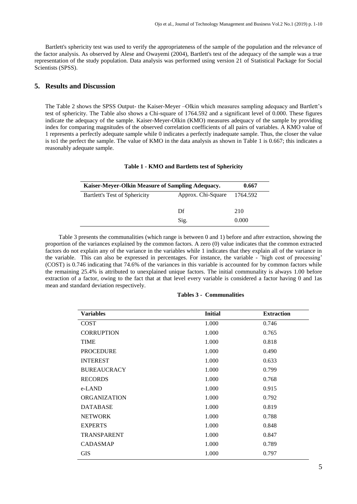Bartlett's sphericity test was used to verify the appropriateness of the sample of the population and the relevance of the factor analysis. As observed by Alese and Owayemi (2004), Bartlett's test of the adequacy of the sample was a true representation of the study population. Data analysis was performed using version 21 of Statistical Package for Social Scientists (SPSS).

## **5. Results and Discussion**

The Table 2 shows the SPSS Output- the Kaiser-Meyer –Olkin which measures sampling adequacy and Bartlett's test of sphericity. The Table also shows a Chi-square of 1764.592 and a significant level of 0.000. These figures indicate the adequacy of the sample. Kaiser-Meyer-Olkin (KMO) measures adequacy of the sample by providing index for comparing magnitudes of the observed correlation coefficients of all pairs of variables. A KMO value of 1 represents a perfectly adequate sample while 0 indicates a perfectly inadequate sample. Thus, the closer the value is to1 the perfect the sample. The value of KMO in the data analysis as shown in Table 1 is 0.667; this indicates a reasonably adequate sample.

## **Table 1 - KMO and Bartletts test of Sphericity**

| Kaiser-Mever-Olkin Measure of Sampling Adequacy. | 0.667              |       |  |
|--------------------------------------------------|--------------------|-------|--|
| Bartlett's Test of Sphericity                    | Approx. Chi-Square |       |  |
|                                                  |                    |       |  |
|                                                  | Df                 | 210   |  |
|                                                  | Sig.               | 0.000 |  |

 Table 3 presents the communalities (which range is between 0 and 1) before and after extraction, showing the proportion of the variances explained by the common factors. A zero (0) value indicates that the common extracted factors do not explain any of the variance in the variables while 1 indicates that they explain all of the variance in the variable. This can also be expressed in percentages. For instance, the variable - 'high cost of processing' (COST) is 0.746 indicating that 74.6% of the variances in this variable is accounted for by common factors while the remaining 25.4% is attributed to unexplained unique factors. The initial communality is always 1.00 before extraction of a factor, owing to the fact that at that level every variable is considered a factor having 0 and 1as mean and standard deviation respectively.

| <b>Variables</b>    | <b>Initial</b> | <b>Extraction</b> |
|---------------------|----------------|-------------------|
| <b>COST</b>         | 1.000          | 0.746             |
| <b>CORRUPTION</b>   | 1.000          | 0.765             |
| <b>TIME</b>         | 1.000          | 0.818             |
| <b>PROCEDURE</b>    | 1.000          | 0.490             |
| <b>INTEREST</b>     | 1.000          | 0.633             |
| <b>BUREAUCRACY</b>  | 1.000          | 0.799             |
| <b>RECORDS</b>      | 1.000          | 0.768             |
| e-LAND              | 1.000          | 0.915             |
| <b>ORGANIZATION</b> | 1.000          | 0.792             |
| <b>DATABASE</b>     | 1.000          | 0.819             |
| <b>NETWORK</b>      | 1.000          | 0.788             |
| <b>EXPERTS</b>      | 1.000          | 0.848             |
| <b>TRANSPARENT</b>  | 1.000          | 0.847             |
| <b>CADASMAP</b>     | 1.000          | 0.789             |
| <b>GIS</b>          | 1.000          | 0.797             |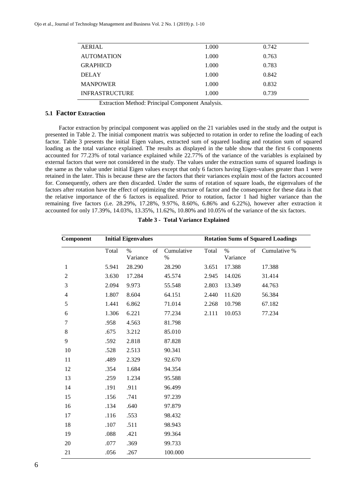| <b>AERIAL</b>         | 1.000 | 0.742 |
|-----------------------|-------|-------|
| <b>AUTOMATION</b>     | 1.000 | 0.763 |
| <b>GRAPHICD</b>       | 1.000 | 0.783 |
| <b>DELAY</b>          | 1.000 | 0.842 |
| <b>MANPOWER</b>       | 1.000 | 0.832 |
| <b>INFRASTRUCTURE</b> | 1.000 | 0.739 |

Extraction Method: Principal Component Analysis.

## **5.1 Factor Extraction**

 Factor extraction by principal component was applied on the 21 variables used in the study and the output is presented in Table 2. The initial component matrix was subjected to rotation in order to refine the loading of each factor. Table 3 presents the initial Eigen values, extracted sum of squared loading and rotation sum of squared loading as the total variance explained. The results as displayed in the table show that the first 6 components accounted for 77.23% of total variance explained while 22.77% of the variance of the variables is explained by external factors that were not considered in the study. The values under the extraction sums of squared loadings is the same as the value under initial Eigen values except that only 6 factors having Eigen-values greater than 1 were retained in the later. This is because these are the factors that their variances explain most of the factors accounted for. Consequently, others are then discarded. Under the sums of rotation of square loads, the eigenvalues of the factors after rotation have the effect of optimizing the structure of factor and the consequence for these data is that the relative importance of the 6 factors is equalized. Prior to rotation, factor 1 had higher variance than the remaining five factors (i.e. 28.29%, 17.28%, 9.97%, 8.60%, 6.86% and 6.22%), however after extraction it accounted for only 17.39%, 14.03%, 13.35%, 11.62%, 10.80% and 10.05% of the variance of the six factors.

| Component                | <b>Initial Eigenvalues</b> |                        |                    |       | <b>Rotation Sums of Squared Loadings</b> |    |              |  |
|--------------------------|----------------------------|------------------------|--------------------|-------|------------------------------------------|----|--------------|--|
|                          | Total                      | of<br>$\%$<br>Variance | Cumulative<br>$\%$ | Total | $\%$<br>Variance                         | of | Cumulative % |  |
| $\mathbf{1}$             | 5.941                      | 28.290                 | 28.290             | 3.651 | 17.388                                   |    | 17.388       |  |
| $\overline{c}$           | 3.630                      | 17.284                 | 45.574             | 2.945 | 14.026                                   |    | 31.414       |  |
| 3                        | 2.094                      | 9.973                  | 55.548             | 2.803 | 13.349                                   |    | 44.763       |  |
| $\overline{\mathcal{A}}$ | 1.807                      | 8.604                  | 64.151             | 2.440 | 11.620                                   |    | 56.384       |  |
| 5                        | 1.441                      | 6.862                  | 71.014             | 2.268 | 10.798                                   |    | 67.182       |  |
| 6                        | 1.306                      | 6.221                  | 77.234             | 2.111 | 10.053                                   |    | 77.234       |  |
| 7                        | .958                       | 4.563                  | 81.798             |       |                                          |    |              |  |
| $8\,$                    | .675                       | 3.212                  | 85.010             |       |                                          |    |              |  |
| 9                        | .592                       | 2.818                  | 87.828             |       |                                          |    |              |  |
| 10                       | .528                       | 2.513                  | 90.341             |       |                                          |    |              |  |
| 11                       | .489                       | 2.329                  | 92.670             |       |                                          |    |              |  |
| 12                       | .354                       | 1.684                  | 94.354             |       |                                          |    |              |  |
| 13                       | .259                       | 1.234                  | 95.588             |       |                                          |    |              |  |
| 14                       | .191                       | .911                   | 96.499             |       |                                          |    |              |  |
| 15                       | .156                       | .741                   | 97.239             |       |                                          |    |              |  |
| 16                       | .134                       | .640                   | 97.879             |       |                                          |    |              |  |
| 17                       | .116                       | .553                   | 98.432             |       |                                          |    |              |  |
| 18                       | .107                       | .511                   | 98.943             |       |                                          |    |              |  |
| 19                       | .088                       | .421                   | 99.364             |       |                                          |    |              |  |
| 20                       | .077                       | .369                   | 99.733             |       |                                          |    |              |  |
| 21                       | .056                       | .267                   | 100.000            |       |                                          |    |              |  |

**Table 3 - Total Variance Explained**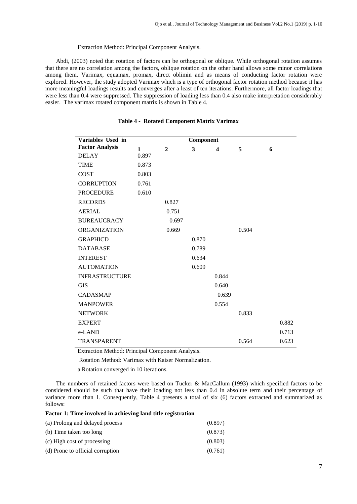#### Extraction Method: Principal Component Analysis.

Abdi, (2003) noted that rotation of factors can be orthogonal or oblique. While orthogonal rotation assumes that there are no correlation among the factors, oblique rotation on the other hand allows some minor correlations among them. Varimax, equamax, promax, direct oblimin and as means of conducting factor rotation were explored. However, the study adopted Varimax which is a type of orthogonal factor rotation method because it has more meaningful loadings results and converges after a least of ten iterations. Furthermore, all factor loadings that were less than 0.4 were suppressed. The suppression of loading less than 0.4 also make interpretation considerably easier. The varimax rotated component matrix is shown in Table 4.

| Variables Used in      |       |              | Component |       |       |       |
|------------------------|-------|--------------|-----------|-------|-------|-------|
| <b>Factor Analysis</b> | 1     | $\mathbf{2}$ | 3         | 4     | 5     | 6     |
| <b>DELAY</b>           | 0.897 |              |           |       |       |       |
| <b>TIME</b>            | 0.873 |              |           |       |       |       |
| <b>COST</b>            | 0.803 |              |           |       |       |       |
| <b>CORRUPTION</b>      | 0.761 |              |           |       |       |       |
| <b>PROCEDURE</b>       | 0.610 |              |           |       |       |       |
| <b>RECORDS</b>         |       | 0.827        |           |       |       |       |
| <b>AERIAL</b>          |       | 0.751        |           |       |       |       |
| <b>BUREAUCRACY</b>     |       | 0.697        |           |       |       |       |
| <b>ORGANIZATION</b>    |       | 0.669        |           |       | 0.504 |       |
| <b>GRAPHICD</b>        |       |              | 0.870     |       |       |       |
| <b>DATABASE</b>        |       |              | 0.789     |       |       |       |
| <b>INTEREST</b>        |       |              | 0.634     |       |       |       |
| <b>AUTOMATION</b>      |       |              | 0.609     |       |       |       |
| <b>INFRASTRUCTURE</b>  |       |              |           | 0.844 |       |       |
| <b>GIS</b>             |       |              |           | 0.640 |       |       |
| <b>CADASMAP</b>        |       |              |           | 0.639 |       |       |
| <b>MANPOWER</b>        |       |              |           | 0.554 |       |       |
| <b>NETWORK</b>         |       |              |           |       | 0.833 |       |
| <b>EXPERT</b>          |       |              |           |       |       | 0.882 |
| e-LAND                 |       |              |           |       |       | 0.713 |
| TRANSPARENT            |       |              |           |       | 0.564 | 0.623 |

## **Table 4 - Rotated Component Matrix Varimax**

Extraction Method: Principal Component Analysis.

Rotation Method: Varimax with Kaiser Normalization.

a Rotation converged in 10 iterations.

The numbers of retained factors were based on Tucker & MacCallum (1993) which specified factors to be considered should be such that have their loading not less than 0.4 in absolute term and their percentage of variance more than 1. Consequently, Table 4 presents a total of six (6) factors extracted and summarized as follows:

## **Factor 1: Time involved in achieving land title registration**

| (a) Prolong and delayed process  | (0.897) |
|----------------------------------|---------|
| (b) Time taken too long          | (0.873) |
| (c) High cost of processing      | (0.803) |
| (d) Prone to official corruption | (0.761) |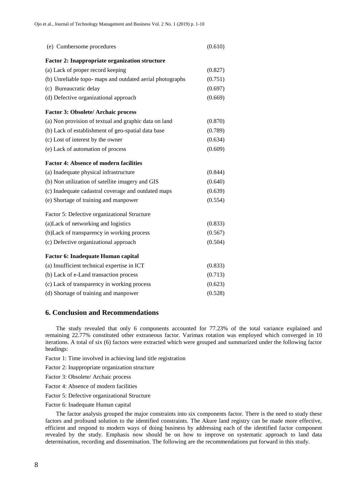| (e) Cumbersome procedures                                 | (0.610) |
|-----------------------------------------------------------|---------|
| <b>Factor 2: Inappropriate organization structure</b>     |         |
| (a) Lack of proper record keeping                         | (0.827) |
| (b) Unreliable topo- maps and outdated aerial photographs | (0.751) |
| (c) Bureaucratic delay                                    | (0.697) |
| (d) Defective organizational approach                     | (0.669) |
| <b>Factor 3: Obsolete/ Archaic process</b>                |         |
| (a) Non provision of textual and graphic data on land     | (0.870) |
| (b) Lack of establishment of geo-spatial data base        | (0.789) |
| (c) Lost of interest by the owner                         | (0.634) |
| (e) Lack of automation of process                         | (0.609) |
| <b>Factor 4: Absence of modern facilities</b>             |         |
| (a) Inadequate physical infrastructure                    | (0.844) |
| (b) Non utilization of satellite imagery and GIS          | (0.640) |
| (c) Inadequate cadastral coverage and outdated maps       | (0.639) |
| (e) Shortage of training and manpower                     | (0.554) |
| Factor 5: Defective organizational Structure              |         |
| (a) Lack of networking and logistics                      | (0.833) |
| (b) Lack of transparency in working process               | (0.567) |
| (c) Defective organizational approach                     | (0.504) |
| Factor 6: Inadequate Human capital                        |         |
| (a) Insufficient technical expertise in ICT               | (0.833) |
| (b) Lack of e-Land transaction process                    | (0.713) |
| (c) Lack of transparency in working process               | (0.623) |
| (d) Shortage of training and manpower                     | (0.528) |

#### **6. Conclusion and Recommendations**

The study revealed that only 6 components accounted for 77.23% of the total variance explained and remaining 22.77% constituted other extraneous factor. Varimax rotation was employed which converged in 10 iterations. A total of six (6) factors were extracted which were grouped and summarized under the following factor headings:

- Factor 1: Time involved in achieving land title registration
- Factor 2: Inappropriate organization structure
- Factor 3: Obsolete/ Archaic process
- Factor 4: Absence of modern facilities
- Factor 5: Defective organizational Structure
- Factor 6: Inadequate Human capital

The factor analysis grouped the major constraints into six components factor. There is the need to study these factors and profound solution to the identified constraints. The Akure land registry can be made more effective, efficient and respond to modern ways of doing business by addressing each of the identified factor component revealed by the study. Emphasis now should be on how to improve on systematic approach to land data determination, recording and dissemination. The following are the recommendations put forward in this study.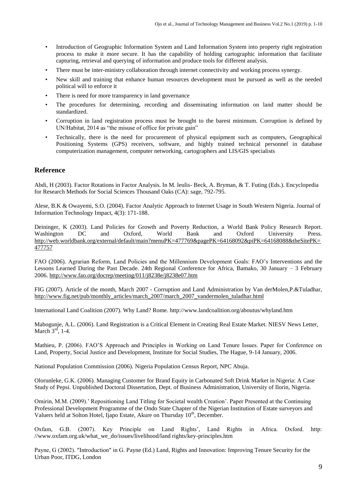- Introduction of Geographic Information System and Land Information System into property right registration process to make it more secure. It has the capability of holding cartographic information that facilitate capturing, retrieval and querying of information and produce tools for different analysis.
- There must be inter-ministry collaboration through internet connectivity and working process synergy.
- New skill and training that enhance human resources development must be pursued as well as the needed political will to enforce it
- There is need for more transparency in land governance
- The procedures for determining, recording and disseminating information on land matter should be standardized.
- Corruption in land registration process must be brought to the barest minimum. Corruption is defined by UN/Habitat, 2014 as "the misuse of office for private gain"
- Technically, there is the need for procurement of physical equipment such as computers, Geographical Positioning Systems (GPS) receivers, software, and highly trained technical personnel in database computerization management, computer networking, cartographers and LIS/GIS specialists

## **Reference**

Abdi, H (2003). Factor Rotations in Factor Analysis. In M. leulis- Beck, A. Bryman, & T. Futing (Eds.). Encyclopedia for Research Methods for Social Sciences Thousand Oaks (CA): sage, 792-795.

Alese, B.K & Owayemi, S.O. (2004). Factor Analytic Approach to Internet Usage in South Western Nigeria. Journal of Information Technology Impact, 4(3): 171-188.

Deininger, K (2003). Land Policies for Growth and Poverty Reduction, a World Bank Policy Research Report. Washington DC and Oxford, World Bank and Oxford University Press. [http://web.worldbank.org/external/default/main?menuPK=477769&pagePK=64168092&piPK=64168088&theSitePK=](http://web.worldbank.org/external/default/main?menuPK=477769&pagePK=64168092&piPK=64168088&theSitePK=477757) [477757](http://web.worldbank.org/external/default/main?menuPK=477769&pagePK=64168092&piPK=64168088&theSitePK=477757)

FAO (2006). Agrarian Reform, Land Policies and the Millennium Development Goals: FAO's Interventions and the Lessons Learned During the Past Decade. 24th Regional Conference for Africa, Bamako, 30 January – 3 February 2006[. http://www.fao.org/docrep/meeting/011/j8238e/j8238e07.htm](http://www.fao.org/docrep/meeting/011/j8238e/j8238e07.htm)

FIG (2007). Article of the month, March 2007 - Corruption and Land Administration by Van derMolen,P.&Tuladhar, [http://www.fig.net/pub/monthly\\_articles/march\\_2007/march\\_2007\\_vandermolen\\_tuladhar.html](http://www.fig.net/pub/monthly_articles/march_2007/march_2007_vandermolen_tuladhar.html)

International Land Coalition (2007). Why Land? Rome. http://www.landcoalition.org/aboutus/whyland.htm

Mabogunje, A.L. (2006). Land Registration is a Critical Element in Creating Real Estate Market. NIESV News Letter, March  $3<sup>rd</sup>$ , 1-4.

Mathieu, P. (2006). FAO'S Approach and Principles in Working on Land Tenure Issues. Paper for Conference on Land, Property, Social Justice and Development, Institute for Social Studies, The Hague, 9-14 January, 2006.

National Population Commission (2006). Nigeria Population Census Report, NPC Abuja.

Olorunleke, G.K. (2006). Managing Customer for Brand Equity in Carbonated Soft Drink Market in Nigeria: A Case Study of Pepsi. Unpublished Doctoral Dissertation, Dept. of Business Administration, University of Ilorin, Nigeria.

Omirin, M.M. (2009).' Repositioning Land Titling for Societal wealth Creation'. Paper Presented at the Continuing Professional Development Programme of the Ondo State Chapter of the Nigerian Institution of Estate surveyors and Valuers held at Solton Hotel, Ijapo Estate, Akure on Thursday 10<sup>th</sup>, December.

Oxfam, G.B. (2007). Key Principle on Land Rights', Land Rights in Africa. Oxford. http: //www.oxfam.org.uk/what\_we\_do/issues/livelihood/land rights/key-principles.htm

Payne, G (2002). ″Introduction″ in G. Payne (Ed.) Land, Rights and Innovation: Improving Tenure Security for the Urban Poor, ITDG, London